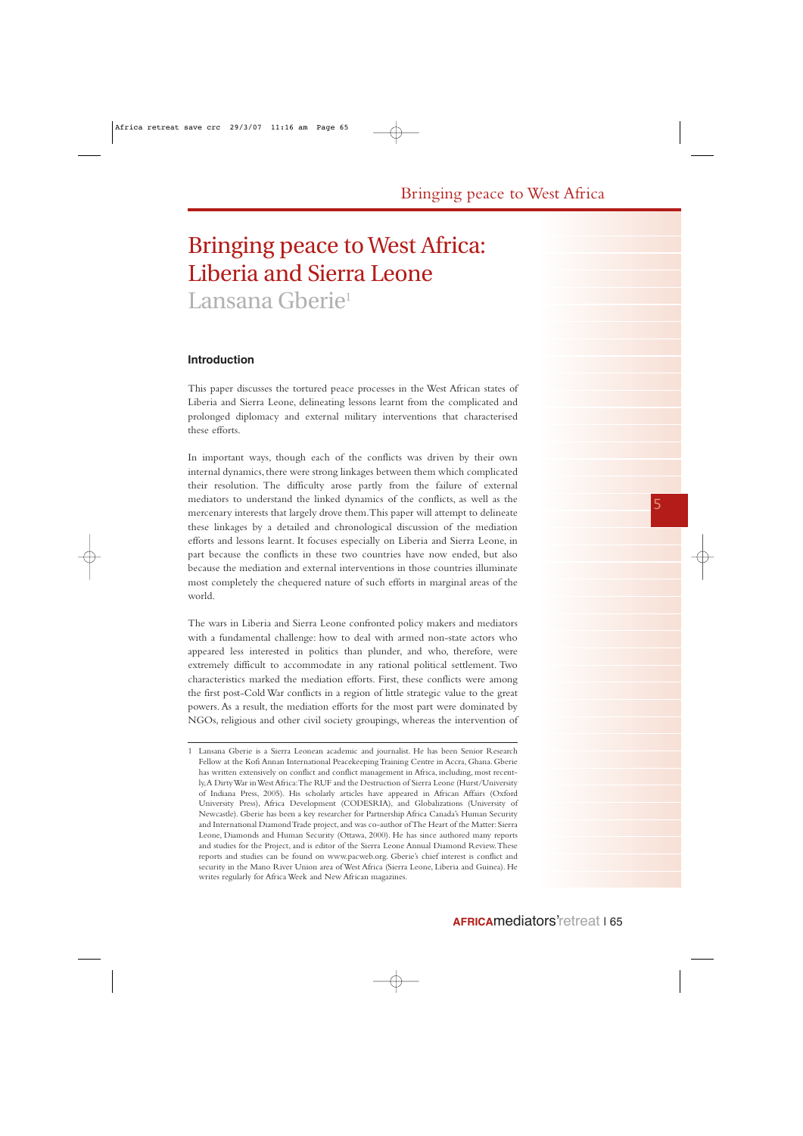# Bringing peace to West Africa: Liberia and Sierra Leone Lansana Gberie<sup>1</sup>

## **Introduction**

This paper discusses the tortured peace processes in the West African states of Liberia and Sierra Leone, delineating lessons learnt from the complicated and prolonged diplomacy and external military interventions that characterised these efforts.

In important ways, though each of the conflicts was driven by their own internal dynamics, there were strong linkages between them which complicated their resolution. The difficulty arose partly from the failure of external mediators to understand the linked dynamics of the conflicts, as well as the mercenary interests that largely drove them.This paper will attempt to delineate these linkages by a detailed and chronological discussion of the mediation efforts and lessons learnt. It focuses especially on Liberia and Sierra Leone, in part because the conflicts in these two countries have now ended, but also because the mediation and external interventions in those countries illuminate most completely the chequered nature of such efforts in marginal areas of the world.

The wars in Liberia and Sierra Leone confronted policy makers and mediators with a fundamental challenge: how to deal with armed non-state actors who appeared less interested in politics than plunder, and who, therefore, were extremely difficult to accommodate in any rational political settlement. Two characteristics marked the mediation efforts. First, these conflicts were among the first post-Cold War conflicts in a region of little strategic value to the great powers. As a result, the mediation efforts for the most part were dominated by NGOs, religious and other civil society groupings, whereas the intervention of

<sup>1</sup> Lansana Gberie is a Sierra Leonean academic and journalist. He has been Senior Research Fellow at the Kofi Annan International Peacekeeping Training Centre in Accra, Ghana. Gberie has written extensively on conflict and conflict management in Africa, including, most recently,A Dirty War in West Africa:The RUF and the Destruction of Sierra Leone (Hurst/University of Indiana Press, 2005). His scholarly articles have appeared in African Affairs (Oxford University Press), Africa Development (CODESRIA), and Globalizations (University of Newcastle). Gberie has been a key researcher for Partnership Africa Canada's Human Security and International Diamond Trade project, and was co-author of The Heart of the Matter: Sierra Leone, Diamonds and Human Security (Ottawa, 2000). He has since authored many reports and studies for the Project, and is editor of the Sierra Leone Annual Diamond Review.These reports and studies can be found on www.pacweb.org. Gberie's chief interest is conflict and security in the Mano River Union area of West Africa (Sierra Leone, Liberia and Guinea). He writes regularly for Africa Week and New African magazines.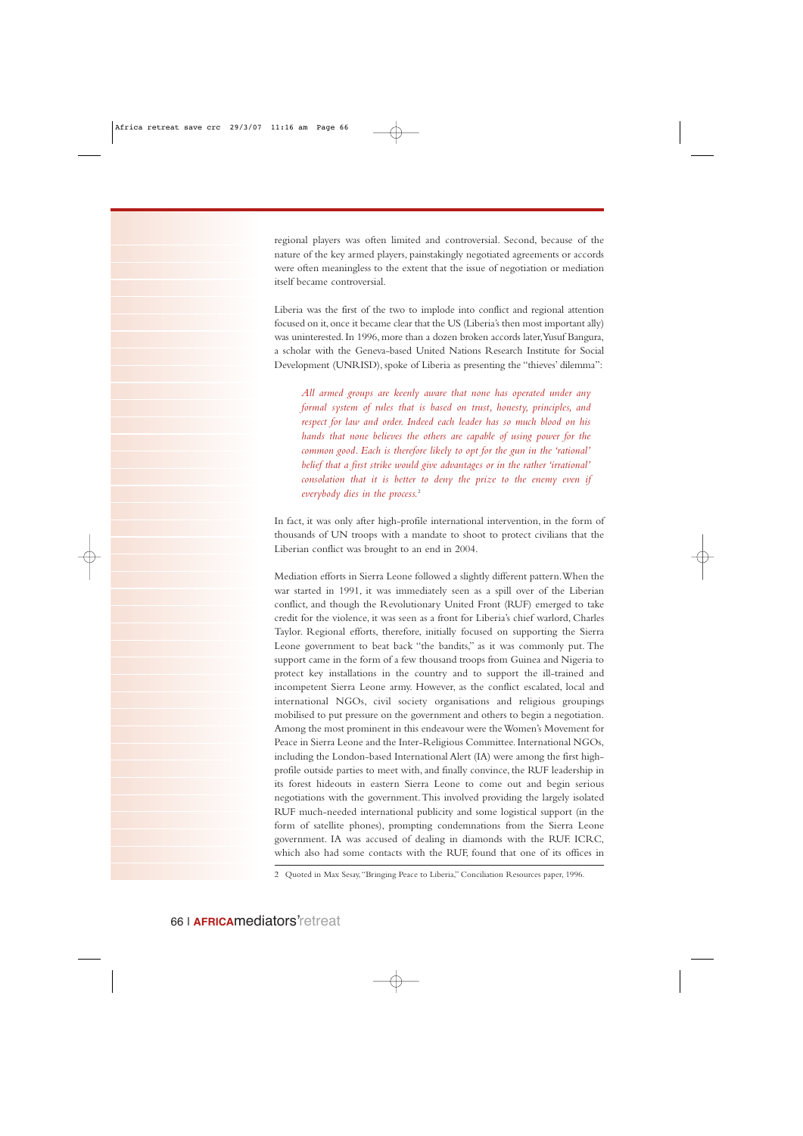regional players was often limited and controversial. Second, because of the nature of the key armed players, painstakingly negotiated agreements or accords were often meaningless to the extent that the issue of negotiation or mediation itself became controversial.

Liberia was the first of the two to implode into conflict and regional attention focused on it,once it became clear that the US (Liberia's then most important ally) was uninterested. In 1996, more than a dozen broken accords later,Yusuf Bangura, a scholar with the Geneva-based United Nations Research Institute for Social Development (UNRISD), spoke of Liberia as presenting the "thieves' dilemma":

*All armed groups are keenly aware that none has operated under any formal system of rules that is based on trust, honesty, principles, and respect for law and order. Indeed each leader has so much blood on his hands that none believes the others are capable of using power for the common good. Each is therefore likely to opt for the gun in the 'rational' belief that a first strike would give advantages or in the rather 'irrational' consolation that it is better to deny the prize to the enemy even if everybody dies in the process.*<sup>2</sup>

In fact, it was only after high-profile international intervention, in the form of thousands of UN troops with a mandate to shoot to protect civilians that the Liberian conflict was brought to an end in 2004.

Mediation efforts in Sierra Leone followed a slightly different pattern.When the war started in 1991, it was immediately seen as a spill over of the Liberian conflict, and though the Revolutionary United Front (RUF) emerged to take credit for the violence, it was seen as a front for Liberia's chief warlord, Charles Taylor. Regional efforts, therefore, initially focused on supporting the Sierra Leone government to beat back "the bandits," as it was commonly put. The support came in the form of a few thousand troops from Guinea and Nigeria to protect key installations in the country and to support the ill-trained and incompetent Sierra Leone army. However, as the conflict escalated, local and international NGOs, civil society organisations and religious groupings mobilised to put pressure on the government and others to begin a negotiation. Among the most prominent in this endeavour were the Women's Movement for Peace in Sierra Leone and the Inter-Religious Committee. International NGOs, including the London-based International Alert (IA) were among the first highprofile outside parties to meet with, and finally convince, the RUF leadership in its forest hideouts in eastern Sierra Leone to come out and begin serious negotiations with the government.This involved providing the largely isolated RUF much-needed international publicity and some logistical support (in the form of satellite phones), prompting condemnations from the Sierra Leone government. IA was accused of dealing in diamonds with the RUF. ICRC, which also had some contacts with the RUF, found that one of its offices in

<sup>2</sup> Quoted in Max Sesay,"Bringing Peace to Liberia," Conciliation Resources paper, 1996.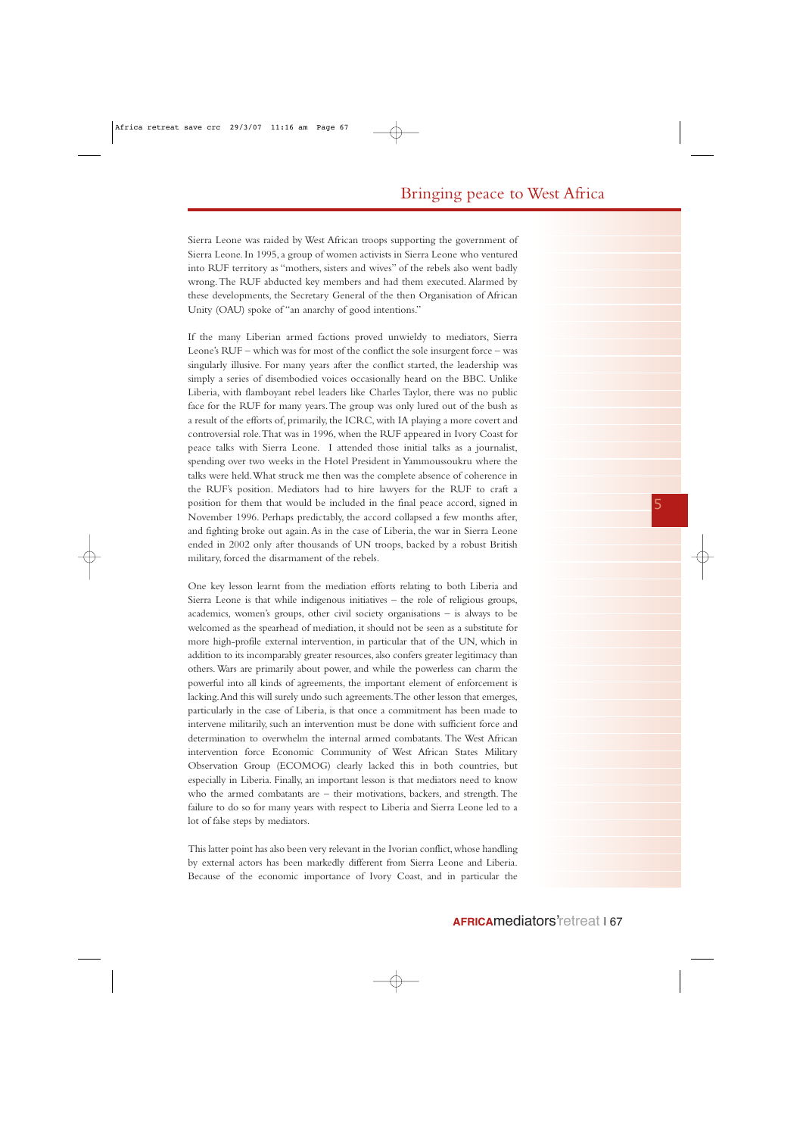Sierra Leone was raided by West African troops supporting the government of Sierra Leone. In 1995, a group of women activists in Sierra Leone who ventured into RUF territory as "mothers, sisters and wives" of the rebels also went badly wrong.The RUF abducted key members and had them executed. Alarmed by these developments, the Secretary General of the then Organisation of African Unity (OAU) spoke of "an anarchy of good intentions."

If the many Liberian armed factions proved unwieldy to mediators, Sierra Leone's RUF – which was for most of the conflict the sole insurgent force – was singularly illusive. For many years after the conflict started, the leadership was simply a series of disembodied voices occasionally heard on the BBC. Unlike Liberia, with flamboyant rebel leaders like Charles Taylor, there was no public face for the RUF for many years.The group was only lured out of the bush as a result of the efforts of, primarily, the ICRC, with IA playing a more covert and controversial role.That was in 1996, when the RUF appeared in Ivory Coast for peace talks with Sierra Leone. I attended those initial talks as a journalist, spending over two weeks in the Hotel President in Yammoussoukru where the talks were held.What struck me then was the complete absence of coherence in the RUF's position. Mediators had to hire lawyers for the RUF to craft a position for them that would be included in the final peace accord, signed in November 1996. Perhaps predictably, the accord collapsed a few months after, and fighting broke out again.As in the case of Liberia, the war in Sierra Leone ended in 2002 only after thousands of UN troops, backed by a robust British military, forced the disarmament of the rebels.

One key lesson learnt from the mediation efforts relating to both Liberia and Sierra Leone is that while indigenous initiatives – the role of religious groups, academics, women's groups, other civil society organisations – is always to be welcomed as the spearhead of mediation, it should not be seen as a substitute for more high-profile external intervention, in particular that of the UN, which in addition to its incomparably greater resources, also confers greater legitimacy than others.Wars are primarily about power, and while the powerless can charm the powerful into all kinds of agreements, the important element of enforcement is lacking.And this will surely undo such agreements.The other lesson that emerges, particularly in the case of Liberia, is that once a commitment has been made to intervene militarily, such an intervention must be done with sufficient force and determination to overwhelm the internal armed combatants. The West African intervention force Economic Community of West African States Military Observation Group (ECOMOG) clearly lacked this in both countries, but especially in Liberia. Finally, an important lesson is that mediators need to know who the armed combatants are – their motivations, backers, and strength. The failure to do so for many years with respect to Liberia and Sierra Leone led to a lot of false steps by mediators.

This latter point has also been very relevant in the Ivorian conflict, whose handling by external actors has been markedly different from Sierra Leone and Liberia. Because of the economic importance of Ivory Coast, and in particular the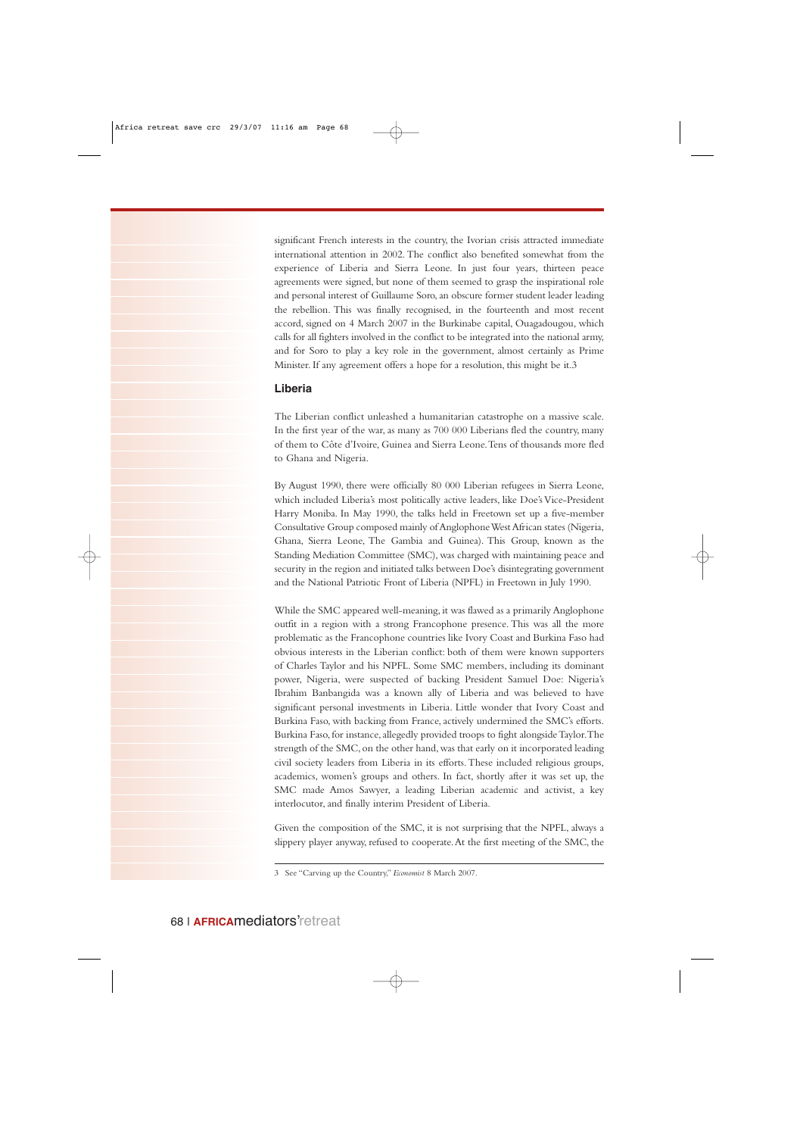significant French interests in the country, the Ivorian crisis attracted immediate international attention in 2002. The conflict also benefited somewhat from the experience of Liberia and Sierra Leone. In just four years, thirteen peace agreements were signed, but none of them seemed to grasp the inspirational role and personal interest of Guillaume Soro, an obscure former student leader leading the rebellion. This was finally recognised, in the fourteenth and most recent accord, signed on 4 March 2007 in the Burkinabe capital, Ouagadougou, which calls for all fighters involved in the conflict to be integrated into the national army, and for Soro to play a key role in the government, almost certainly as Prime Minister. If any agreement offers a hope for a resolution, this might be it.3

## **Liberia**

The Liberian conflict unleashed a humanitarian catastrophe on a massive scale. In the first year of the war, as many as 700 000 Liberians fled the country, many of them to Côte d'Ivoire, Guinea and Sierra Leone.Tens of thousands more fled to Ghana and Nigeria.

By August 1990, there were officially 80 000 Liberian refugees in Sierra Leone, which included Liberia's most politically active leaders, like Doe's Vice-President Harry Moniba. In May 1990, the talks held in Freetown set up a five-member Consultative Group composed mainly of Anglophone West African states (Nigeria, Ghana, Sierra Leone, The Gambia and Guinea). This Group, known as the Standing Mediation Committee (SMC), was charged with maintaining peace and security in the region and initiated talks between Doe's disintegrating government and the National Patriotic Front of Liberia (NPFL) in Freetown in July 1990.

While the SMC appeared well-meaning, it was flawed as a primarily Anglophone outfit in a region with a strong Francophone presence. This was all the more problematic as the Francophone countries like Ivory Coast and Burkina Faso had obvious interests in the Liberian conflict: both of them were known supporters of Charles Taylor and his NPFL. Some SMC members, including its dominant power, Nigeria, were suspected of backing President Samuel Doe: Nigeria's Ibrahim Banbangida was a known ally of Liberia and was believed to have significant personal investments in Liberia. Little wonder that Ivory Coast and Burkina Faso, with backing from France, actively undermined the SMC's efforts. Burkina Faso, for instance, allegedly provided troops to fight alongside Taylor.The strength of the SMC, on the other hand, was that early on it incorporated leading civil society leaders from Liberia in its efforts.These included religious groups, academics, women's groups and others. In fact, shortly after it was set up, the SMC made Amos Sawyer, a leading Liberian academic and activist, a key interlocutor, and finally interim President of Liberia.

Given the composition of the SMC, it is not surprising that the NPFL, always a slippery player anyway, refused to cooperate.At the first meeting of the SMC, the

<sup>3</sup> See "Carving up the Country," *Economist* 8 March 2007.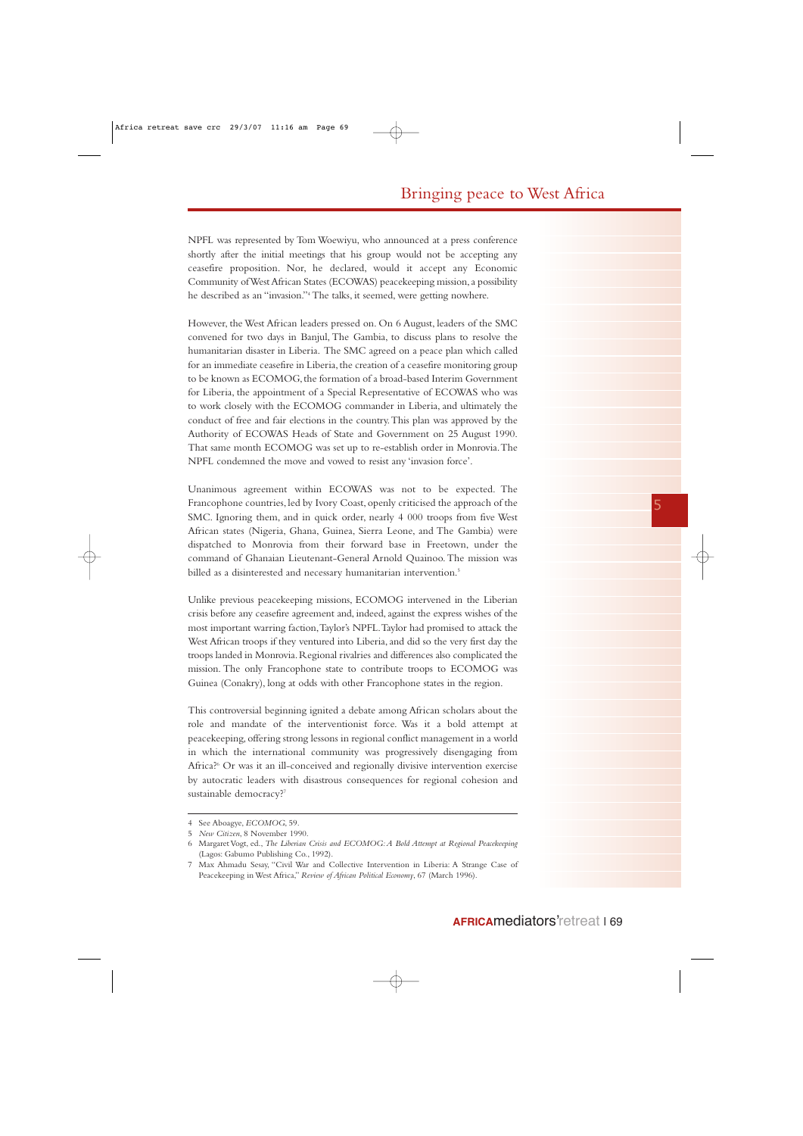NPFL was represented by Tom Woewiyu, who announced at a press conference shortly after the initial meetings that his group would not be accepting any ceasefire proposition. Nor, he declared, would it accept any Economic Community of West African States (ECOWAS) peacekeeping mission,a possibility he described as an "invasion."4The talks, it seemed, were getting nowhere.

However, the West African leaders pressed on. On 6 August, leaders of the SMC convened for two days in Banjul, The Gambia, to discuss plans to resolve the humanitarian disaster in Liberia. The SMC agreed on a peace plan which called for an immediate ceasefire in Liberia, the creation of a ceasefire monitoring group to be known as ECOMOG, the formation of a broad-based Interim Government for Liberia, the appointment of a Special Representative of ECOWAS who was to work closely with the ECOMOG commander in Liberia, and ultimately the conduct of free and fair elections in the country.This plan was approved by the Authority of ECOWAS Heads of State and Government on 25 August 1990. That same month ECOMOG was set up to re-establish order in Monrovia.The NPFL condemned the move and vowed to resist any 'invasion force'.

Unanimous agreement within ECOWAS was not to be expected. The Francophone countries, led by Ivory Coast, openly criticised the approach of the SMC. Ignoring them, and in quick order, nearly 4 000 troops from five West African states (Nigeria, Ghana, Guinea, Sierra Leone, and The Gambia) were dispatched to Monrovia from their forward base in Freetown, under the command of Ghanaian Lieutenant-General Arnold Quainoo. The mission was billed as a disinterested and necessary humanitarian intervention.<sup>5</sup>

Unlike previous peacekeeping missions, ECOMOG intervened in the Liberian crisis before any ceasefire agreement and, indeed, against the express wishes of the most important warring faction,Taylor's NPFL.Taylor had promised to attack the West African troops if they ventured into Liberia, and did so the very first day the troops landed in Monrovia.Regional rivalries and differences also complicated the mission. The only Francophone state to contribute troops to ECOMOG was Guinea (Conakry), long at odds with other Francophone states in the region.

This controversial beginning ignited a debate among African scholars about the role and mandate of the interventionist force. Was it a bold attempt at peacekeeping,offering strong lessons in regional conflict management in a world in which the international community was progressively disengaging from Africa?6 Or was it an ill-conceived and regionally divisive intervention exercise by autocratic leaders with disastrous consequences for regional cohesion and sustainable democracy?<sup>7</sup>

<sup>4</sup> See Aboagye, *ECOMOG*, 59.

<sup>5</sup> *New Citizen*, 8 November 1990.

<sup>6</sup> Margaret Vogt, ed., *The Liberian Crisis and ECOMOG:A Bold Attempt at Regional Peacekeeping* (Lagos: Gabumo Publishing Co., 1992).

<sup>7</sup> Max Ahmadu Sesay, "Civil War and Collective Intervention in Liberia: A Strange Case of Peacekeeping in West Africa," *Review of African Political Economy*, 67 (March 1996).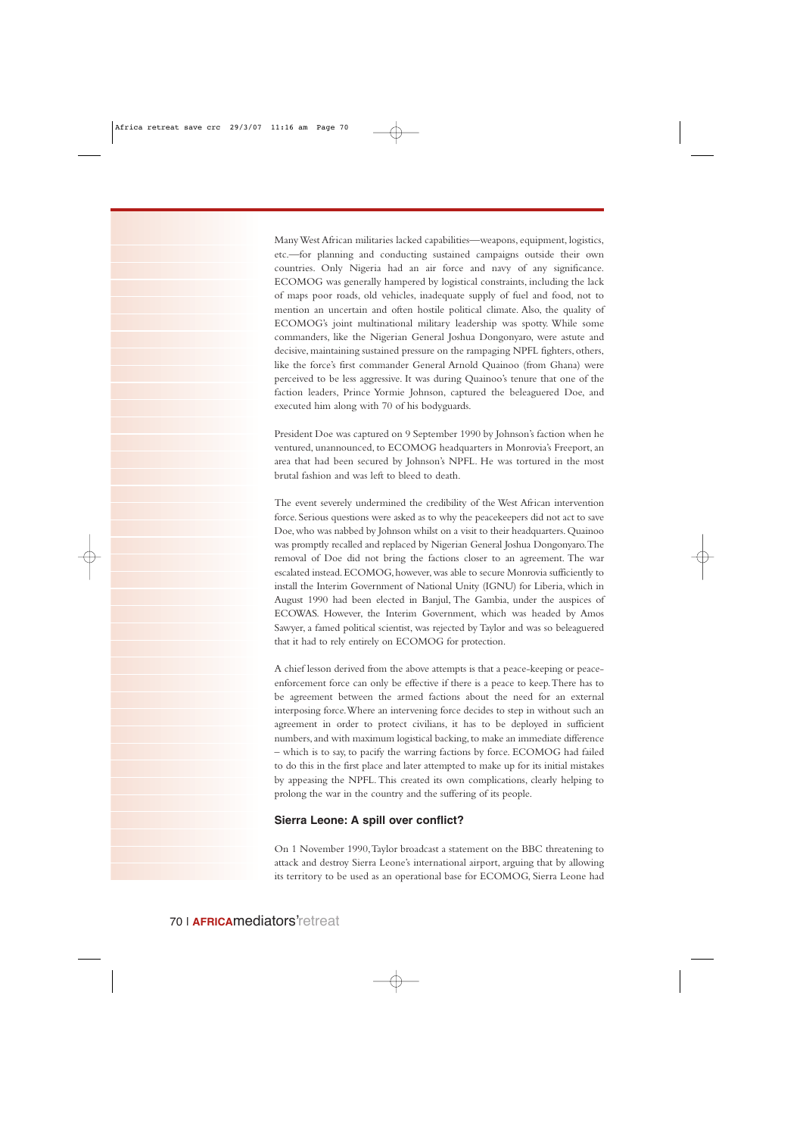Many West African militaries lacked capabilities—weapons, equipment, logistics, etc.—for planning and conducting sustained campaigns outside their own countries. Only Nigeria had an air force and navy of any significance. ECOMOG was generally hampered by logistical constraints, including the lack of maps poor roads, old vehicles, inadequate supply of fuel and food, not to mention an uncertain and often hostile political climate. Also, the quality of ECOMOG's joint multinational military leadership was spotty. While some commanders, like the Nigerian General Joshua Dongonyaro, were astute and decisive, maintaining sustained pressure on the rampaging NPFL fighters, others, like the force's first commander General Arnold Quainoo (from Ghana) were perceived to be less aggressive. It was during Quainoo's tenure that one of the faction leaders, Prince Yormie Johnson, captured the beleaguered Doe, and executed him along with 70 of his bodyguards.

President Doe was captured on 9 September 1990 by Johnson's faction when he ventured, unannounced, to ECOMOG headquarters in Monrovia's Freeport, an area that had been secured by Johnson's NPFL. He was tortured in the most brutal fashion and was left to bleed to death.

The event severely undermined the credibility of the West African intervention force. Serious questions were asked as to why the peacekeepers did not act to save Doe, who was nabbed by Johnson whilst on a visit to their headquarters. Quainoo was promptly recalled and replaced by Nigerian General Joshua Dongonyaro.The removal of Doe did not bring the factions closer to an agreement. The war escalated instead. ECOMOG, however, was able to secure Monrovia sufficiently to install the Interim Government of National Unity (IGNU) for Liberia, which in August 1990 had been elected in Banjul, The Gambia, under the auspices of ECOWAS. However, the Interim Government, which was headed by Amos Sawyer, a famed political scientist, was rejected by Taylor and was so beleaguered that it had to rely entirely on ECOMOG for protection.

A chief lesson derived from the above attempts is that a peace-keeping or peaceenforcement force can only be effective if there is a peace to keep.There has to be agreement between the armed factions about the need for an external interposing force.Where an intervening force decides to step in without such an agreement in order to protect civilians, it has to be deployed in sufficient numbers, and with maximum logistical backing, to make an immediate difference – which is to say, to pacify the warring factions by force. ECOMOG had failed to do this in the first place and later attempted to make up for its initial mistakes by appeasing the NPFL. This created its own complications, clearly helping to prolong the war in the country and the suffering of its people.

#### **Sierra Leone: A spill over conflict?**

On 1 November 1990,Taylor broadcast a statement on the BBC threatening to attack and destroy Sierra Leone's international airport, arguing that by allowing its territory to be used as an operational base for ECOMOG, Sierra Leone had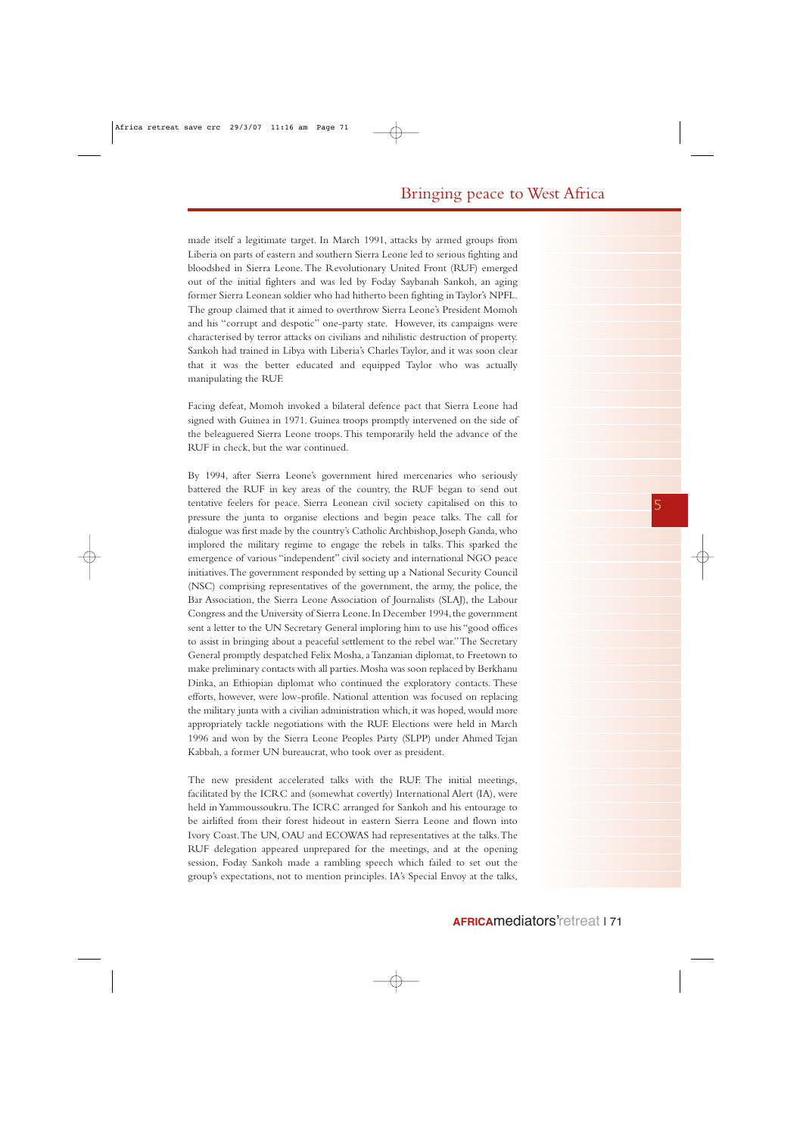made itself a legitimate target. In March 1991, attacks by armed groups from Liberia on parts of eastern and southern Sierra Leone led to serious fighting and bloodshed in Sierra Leone. The Revolutionary United Front (RUF) emerged out of the initial fighters and was led by Foday Saybanah Sankoh, an aging former Sierra Leonean soldier who had hitherto been fighting in Taylor's NPFL. The group claimed that it aimed to overthrow Sierra Leone's President Momoh and his "corrupt and despotic" one-party state. However, its campaigns were characterised by terror attacks on civilians and nihilistic destruction of property. Sankoh had trained in Libya with Liberia's Charles Taylor, and it was soon clear that it was the better educated and equipped Taylor who was actually manipulating the RUF.

Facing defeat, Momoh invoked a bilateral defence pact that Sierra Leone had signed with Guinea in 1971. Guinea troops promptly intervened on the side of the beleaguered Sierra Leone troops.This temporarily held the advance of the RUF in check, but the war continued.

By 1994, after Sierra Leone's government hired mercenaries who seriously battered the RUF in key areas of the country, the RUF began to send out tentative feelers for peace. Sierra Leonean civil society capitalised on this to pressure the junta to organise elections and begin peace talks. The call for dialogue was first made by the country's Catholic Archbishop,Joseph Ganda,who implored the military regime to engage the rebels in talks. This sparked the emergence of various "independent" civil society and international NGO peace initiatives.The government responded by setting up a National Security Council (NSC) comprising representatives of the government, the army, the police, the Bar Association, the Sierra Leone Association of Journalists (SLAJ), the Labour Congress and the University of Sierra Leone. In December 1994, the government sent a letter to the UN Secretary General imploring him to use his "good offices to assist in bringing about a peaceful settlement to the rebel war."The Secretary General promptly despatched Felix Mosha, a Tanzanian diplomat, to Freetown to make preliminary contacts with all parties.Mosha was soon replaced by Berkhanu Dinka, an Ethiopian diplomat who continued the exploratory contacts. These efforts, however, were low-profile. National attention was focused on replacing the military junta with a civilian administration which, it was hoped, would more appropriately tackle negotiations with the RUF. Elections were held in March 1996 and won by the Sierra Leone Peoples Party (SLPP) under Ahmed Tejan Kabbah, a former UN bureaucrat, who took over as president.

The new president accelerated talks with the RUF. The initial meetings, facilitated by the ICRC and (somewhat covertly) International Alert (IA), were held in Yammoussoukru.The ICRC arranged for Sankoh and his entourage to be airlifted from their forest hideout in eastern Sierra Leone and flown into Ivory Coast.The UN, OAU and ECOWAS had representatives at the talks.The RUF delegation appeared unprepared for the meetings, and at the opening session, Foday Sankoh made a rambling speech which failed to set out the group's expectations, not to mention principles. IA's Special Envoy at the talks,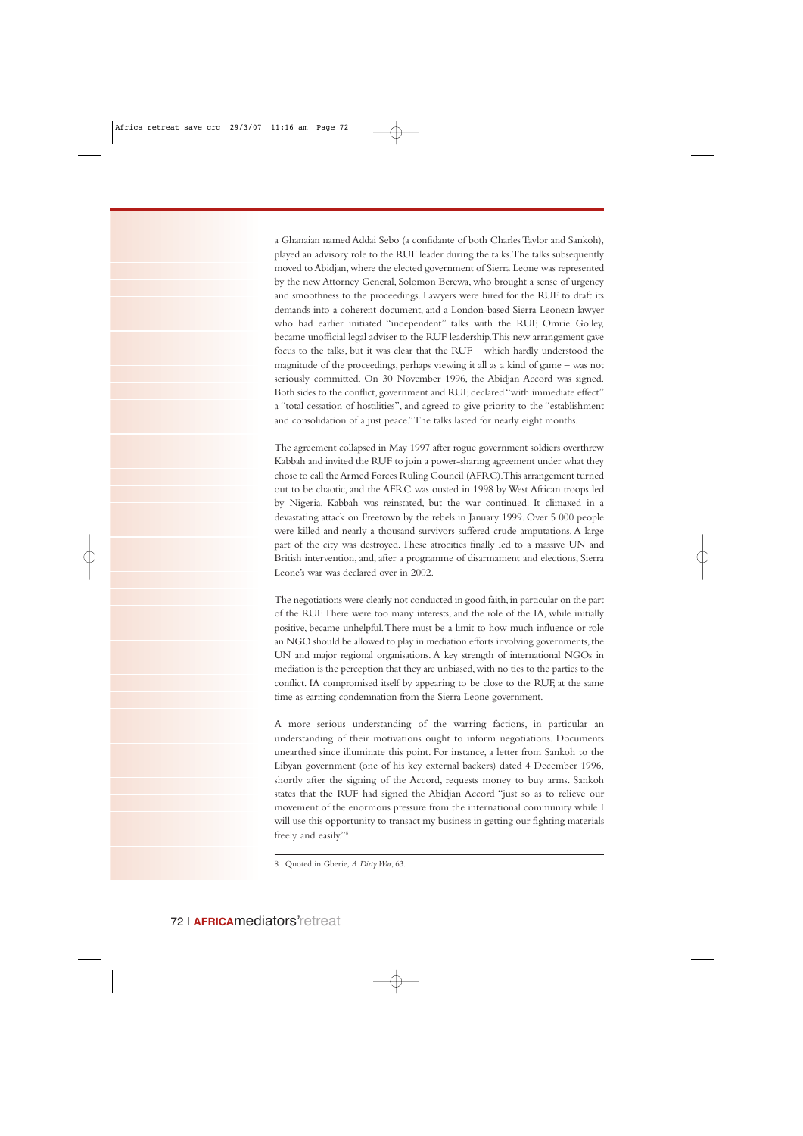a Ghanaian named Addai Sebo (a confidante of both Charles Taylor and Sankoh), played an advisory role to the RUF leader during the talks.The talks subsequently moved to Abidjan, where the elected government of Sierra Leone was represented by the new Attorney General, Solomon Berewa, who brought a sense of urgency and smoothness to the proceedings. Lawyers were hired for the RUF to draft its demands into a coherent document, and a London-based Sierra Leonean lawyer who had earlier initiated "independent" talks with the RUF, Omrie Golley, became unofficial legal adviser to the RUF leadership.This new arrangement gave focus to the talks, but it was clear that the RUF – which hardly understood the magnitude of the proceedings, perhaps viewing it all as a kind of game – was not seriously committed. On 30 November 1996, the Abidjan Accord was signed. Both sides to the conflict, government and RUF, declared "with immediate effect" a "total cessation of hostilities", and agreed to give priority to the "establishment and consolidation of a just peace."The talks lasted for nearly eight months.

The agreement collapsed in May 1997 after rogue government soldiers overthrew Kabbah and invited the RUF to join a power-sharing agreement under what they chose to call the Armed Forces Ruling Council (AFRC).This arrangement turned out to be chaotic, and the AFRC was ousted in 1998 by West African troops led by Nigeria. Kabbah was reinstated, but the war continued. It climaxed in a devastating attack on Freetown by the rebels in January 1999. Over 5 000 people were killed and nearly a thousand survivors suffered crude amputations. A large part of the city was destroyed. These atrocities finally led to a massive UN and British intervention, and, after a programme of disarmament and elections, Sierra Leone's war was declared over in 2002.

The negotiations were clearly not conducted in good faith, in particular on the part of the RUF.There were too many interests, and the role of the IA, while initially positive, became unhelpful.There must be a limit to how much influence or role an NGO should be allowed to play in mediation efforts involving governments, the UN and major regional organisations. A key strength of international NGOs in mediation is the perception that they are unbiased,with no ties to the parties to the conflict. IA compromised itself by appearing to be close to the RUF, at the same time as earning condemnation from the Sierra Leone government.

A more serious understanding of the warring factions, in particular an understanding of their motivations ought to inform negotiations. Documents unearthed since illuminate this point. For instance, a letter from Sankoh to the Libyan government (one of his key external backers) dated 4 December 1996, shortly after the signing of the Accord, requests money to buy arms. Sankoh states that the RUF had signed the Abidjan Accord "just so as to relieve our movement of the enormous pressure from the international community while I will use this opportunity to transact my business in getting our fighting materials freely and easily."8

<sup>8</sup> Quoted in Gberie, *A Dirty War*, 63.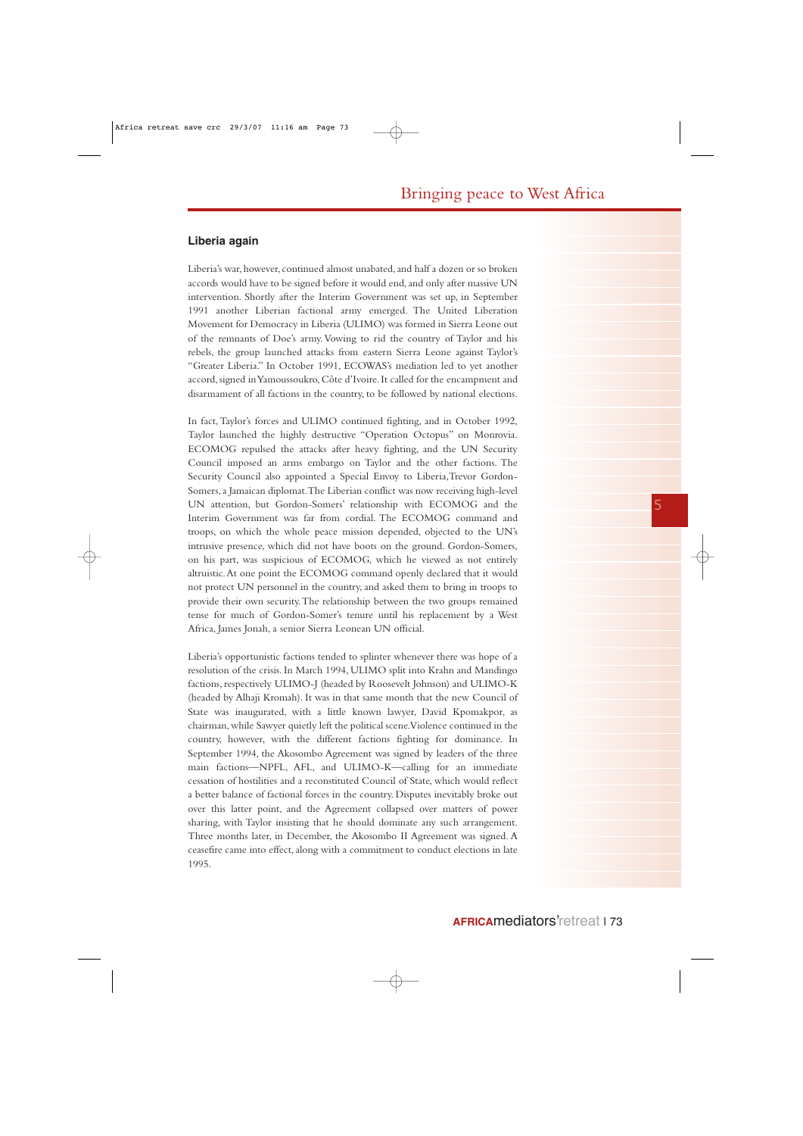#### **Liberia again**

Liberia's war, however, continued almost unabated, and half a dozen or so broken accords would have to be signed before it would end, and only after massive UN intervention. Shortly after the Interim Government was set up, in September 1991 another Liberian factional army emerged. The United Liberation Movement for Democracy in Liberia (ULIMO) was formed in Sierra Leone out of the remnants of Doe's army. Vowing to rid the country of Taylor and his rebels, the group launched attacks from eastern Sierra Leone against Taylor's "Greater Liberia." In October 1991, ECOWAS's mediation led to yet another accord, signed in Yamoussoukro, Côte d'Ivoire. It called for the encampment and disarmament of all factions in the country, to be followed by national elections.

In fact, Taylor's forces and ULIMO continued fighting, and in October 1992, Taylor launched the highly destructive "Operation Octopus" on Monrovia. ECOMOG repulsed the attacks after heavy fighting, and the UN Security Council imposed an arms embargo on Taylor and the other factions. The Security Council also appointed a Special Envoy to Liberia,Trevor Gordon-Somers, a Jamaican diplomat.The Liberian conflict was now receiving high-level UN attention, but Gordon-Somers' relationship with ECOMOG and the Interim Government was far from cordial. The ECOMOG command and troops, on which the whole peace mission depended, objected to the UN's intrusive presence, which did not have boots on the ground. Gordon-Somers, on his part, was suspicious of ECOMOG, which he viewed as not entirely altruistic.At one point the ECOMOG command openly declared that it would not protect UN personnel in the country, and asked them to bring in troops to provide their own security.The relationship between the two groups remained tense for much of Gordon-Somer's tenure until his replacement by a West Africa, James Jonah, a senior Sierra Leonean UN official.

Liberia's opportunistic factions tended to splinter whenever there was hope of a resolution of the crisis. In March 1994, ULIMO split into Krahn and Mandingo factions, respectively ULIMO-J (headed by Roosevelt Johnson) and ULIMO-K (headed by Alhaji Kromah). It was in that same month that the new Council of State was inaugurated, with a little known lawyer, David Kpomakpor, as chairman,while Sawyer quietly left the political scene.Violence continued in the country, however, with the different factions fighting for dominance. In September 1994, the Akosombo Agreement was signed by leaders of the three main factions—NPFL, AFL, and ULIMO-K—calling for an immediate cessation of hostilities and a reconstituted Council of State, which would reflect a better balance of factional forces in the country. Disputes inevitably broke out over this latter point, and the Agreement collapsed over matters of power sharing, with Taylor insisting that he should dominate any such arrangement. Three months later, in December, the Akosombo II Agreement was signed. A ceasefire came into effect, along with a commitment to conduct elections in late 1995.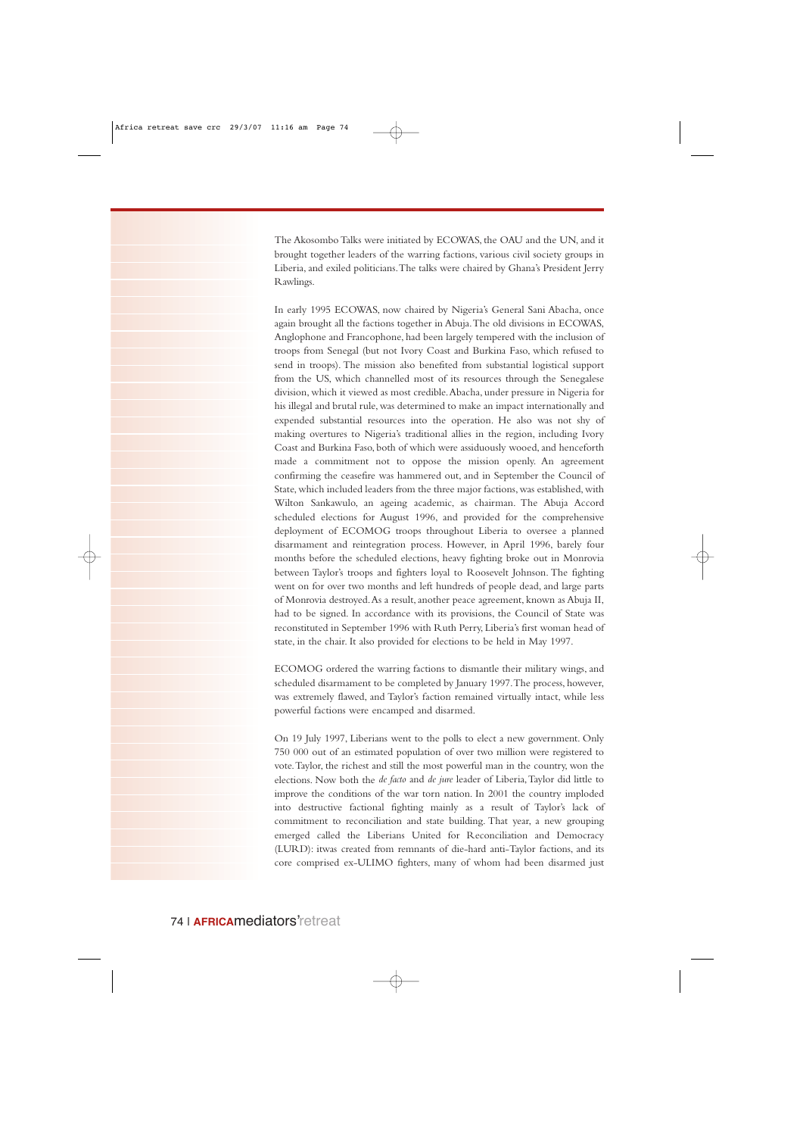The Akosombo Talks were initiated by ECOWAS, the OAU and the UN, and it brought together leaders of the warring factions, various civil society groups in Liberia, and exiled politicians.The talks were chaired by Ghana's President Jerry Rawlings.

In early 1995 ECOWAS, now chaired by Nigeria's General Sani Abacha, once again brought all the factions together in Abuja.The old divisions in ECOWAS, Anglophone and Francophone, had been largely tempered with the inclusion of troops from Senegal (but not Ivory Coast and Burkina Faso, which refused to send in troops). The mission also benefited from substantial logistical support from the US, which channelled most of its resources through the Senegalese division, which it viewed as most credible.Abacha, under pressure in Nigeria for his illegal and brutal rule, was determined to make an impact internationally and expended substantial resources into the operation. He also was not shy of making overtures to Nigeria's traditional allies in the region, including Ivory Coast and Burkina Faso, both of which were assiduously wooed, and henceforth made a commitment not to oppose the mission openly. An agreement confirming the ceasefire was hammered out, and in September the Council of State, which included leaders from the three major factions, was established, with Wilton Sankawulo, an ageing academic, as chairman. The Abuja Accord scheduled elections for August 1996, and provided for the comprehensive deployment of ECOMOG troops throughout Liberia to oversee a planned disarmament and reintegration process. However, in April 1996, barely four months before the scheduled elections, heavy fighting broke out in Monrovia between Taylor's troops and fighters loyal to Roosevelt Johnson. The fighting went on for over two months and left hundreds of people dead, and large parts of Monrovia destroyed.As a result, another peace agreement, known as Abuja II, had to be signed. In accordance with its provisions, the Council of State was reconstituted in September 1996 with Ruth Perry, Liberia's first woman head of state, in the chair. It also provided for elections to be held in May 1997.

ECOMOG ordered the warring factions to dismantle their military wings, and scheduled disarmament to be completed by January 1997.The process, however, was extremely flawed, and Taylor's faction remained virtually intact, while less powerful factions were encamped and disarmed.

On 19 July 1997, Liberians went to the polls to elect a new government. Only 750 000 out of an estimated population of over two million were registered to vote.Taylor, the richest and still the most powerful man in the country, won the elections. Now both the *de facto* and *de jure* leader of Liberia,Taylor did little to improve the conditions of the war torn nation. In 2001 the country imploded into destructive factional fighting mainly as a result of Taylor's lack of commitment to reconciliation and state building. That year, a new grouping emerged called the Liberians United for Reconciliation and Democracy (LURD): itwas created from remnants of die-hard anti-Taylor factions, and its core comprised ex-ULIMO fighters, many of whom had been disarmed just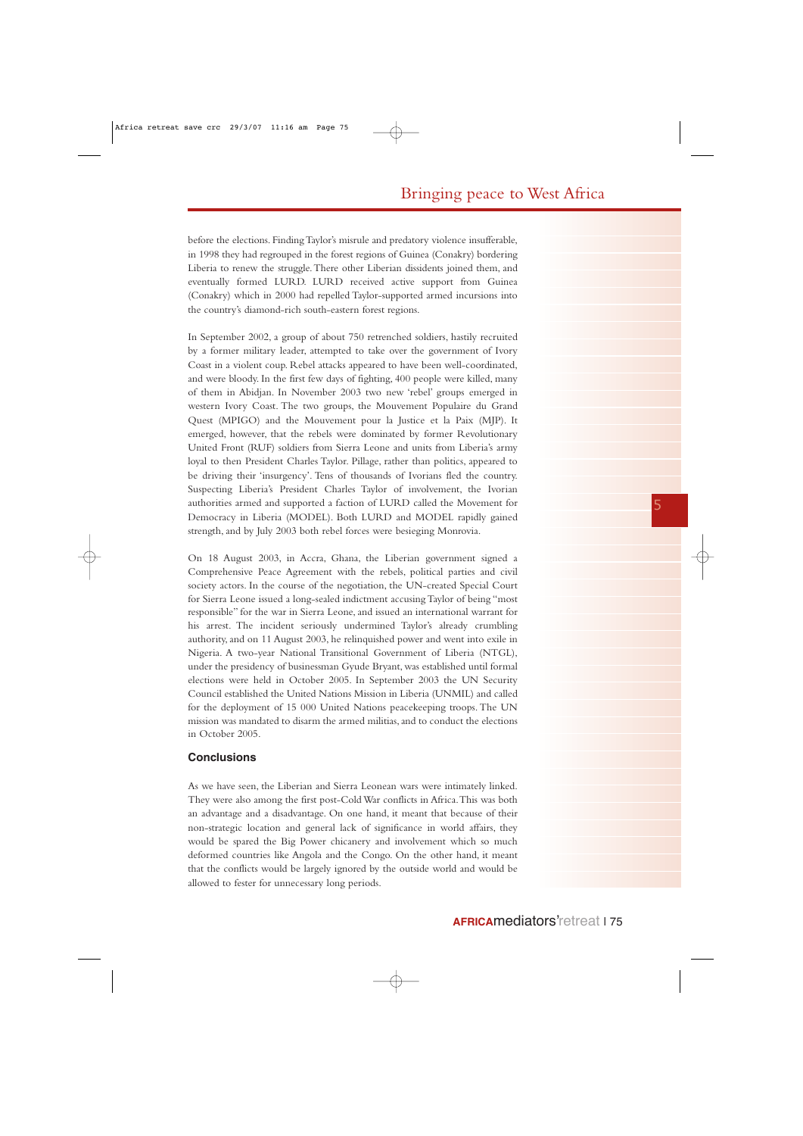before the elections. Finding Taylor's misrule and predatory violence insufferable, in 1998 they had regrouped in the forest regions of Guinea (Conakry) bordering Liberia to renew the struggle.There other Liberian dissidents joined them, and eventually formed LURD. LURD received active support from Guinea (Conakry) which in 2000 had repelled Taylor-supported armed incursions into the country's diamond-rich south-eastern forest regions.

In September 2002, a group of about 750 retrenched soldiers, hastily recruited by a former military leader, attempted to take over the government of Ivory Coast in a violent coup. Rebel attacks appeared to have been well-coordinated, and were bloody. In the first few days of fighting, 400 people were killed, many of them in Abidjan. In November 2003 two new 'rebel' groups emerged in western Ivory Coast. The two groups, the Mouvement Populaire du Grand Quest (MPIGO) and the Mouvement pour la Justice et la Paix (MJP). It emerged, however, that the rebels were dominated by former Revolutionary United Front (RUF) soldiers from Sierra Leone and units from Liberia's army loyal to then President Charles Taylor. Pillage, rather than politics, appeared to be driving their 'insurgency'. Tens of thousands of Ivorians fled the country. Suspecting Liberia's President Charles Taylor of involvement, the Ivorian authorities armed and supported a faction of LURD called the Movement for Democracy in Liberia (MODEL). Both LURD and MODEL rapidly gained strength, and by July 2003 both rebel forces were besieging Monrovia.

On 18 August 2003, in Accra, Ghana, the Liberian government signed a Comprehensive Peace Agreement with the rebels, political parties and civil society actors. In the course of the negotiation, the UN-created Special Court for Sierra Leone issued a long-sealed indictment accusing Taylor of being "most responsible" for the war in Sierra Leone, and issued an international warrant for his arrest. The incident seriously undermined Taylor's already crumbling authority, and on 11 August 2003, he relinquished power and went into exile in Nigeria. A two-year National Transitional Government of Liberia (NTGL), under the presidency of businessman Gyude Bryant, was established until formal elections were held in October 2005. In September 2003 the UN Security Council established the United Nations Mission in Liberia (UNMIL) and called for the deployment of 15 000 United Nations peacekeeping troops. The UN mission was mandated to disarm the armed militias, and to conduct the elections in October 2005.

### **Conclusions**

As we have seen, the Liberian and Sierra Leonean wars were intimately linked. They were also among the first post-Cold War conflicts in Africa.This was both an advantage and a disadvantage. On one hand, it meant that because of their non-strategic location and general lack of significance in world affairs, they would be spared the Big Power chicanery and involvement which so much deformed countries like Angola and the Congo. On the other hand, it meant that the conflicts would be largely ignored by the outside world and would be allowed to fester for unnecessary long periods.